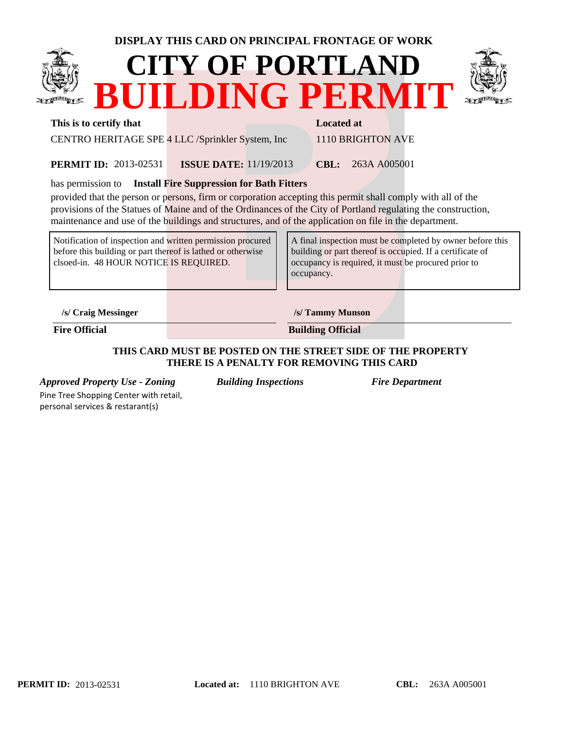## **DISPLAY THIS CARD ON PRINCIPAL FRONTAGE OF WORK**





#### **This is to certify that Located at Located at Located at Located at Located at Located at Located at Located at Located at Located at Located at Located at Located at Located at Located at Located at Located at Located at**

CENTRO HERITAGE SPE 4 LLC /Sprinkler System, Inc 1110 BRIGHTON AVE

2013-02531 **CBL:** 263A A005001 **ISSUE DATE:** 11/19/2013 **PERMIT ID:** 2013-02531

has permission to **Install Fire Suppression for Bath Fitters** 

provided that the person or persons, firm or corporation accepting this permit shall comply with all of the provisions of the Statues of Maine and of the Ordinances of the City of Portland regulating the construction, maintenance and use of the buildings and structures, and of the application on file in the department.

Notification of inspection and written permission procured before this building or part thereof is lathed or otherwise clsoed-in. 48 HOUR NOTICE IS REQUIRED.

A final inspection must be completed by owner before this building or part thereof is occupied. If a certificate of occupancy is required, it must be procured prior to occupancy.

**/s/ Craig Messinger /s/ Tammy Munson**

**Fire Official Building Official** 

### **THIS CARD MUST BE POSTED ON THE STREET SIDE OF THE PROPERTY THERE IS A PENALTY FOR REMOVING THIS CARD**

*Approved Property Use - Zoning Building Inspections Fire Department* Pine Tree Shopping Center with retail,

personal services & restarant(s)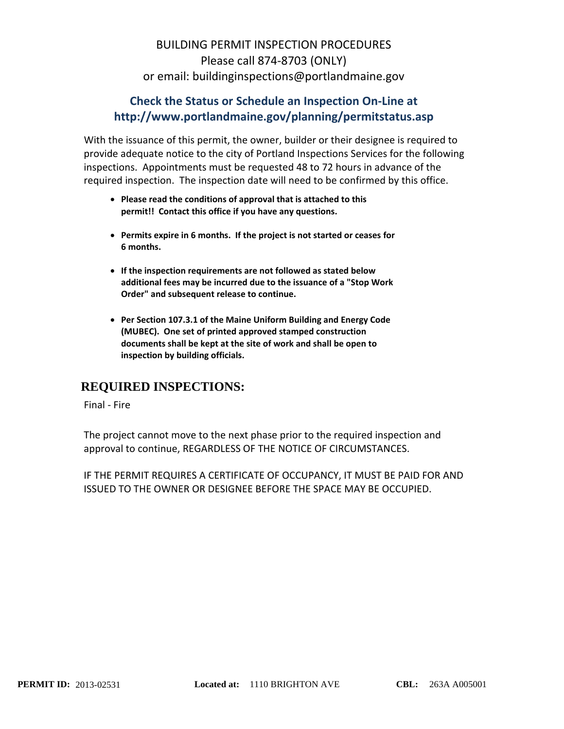# BUILDING PERMIT INSPECTION PROCEDURES Please call 874‐8703 (ONLY) or email: buildinginspections@portlandmaine.gov

## **Check the Status or Schedule an Inspection On‐Line at http://www.portlandmaine.gov/planning/permitstatus.asp**

With the issuance of this permit, the owner, builder or their designee is required to provide adequate notice to the city of Portland Inspections Services for the following inspections. Appointments must be requested 48 to 72 hours in advance of the required inspection. The inspection date will need to be confirmed by this office.

- **Please read the conditions of approval that is attached to this permit!! Contact this office if you have any questions.**
- **Permits expire in 6 months. If the project is not started or ceases for 6 months.**
- **If the inspection requirements are not followed as stated below additional fees may be incurred due to the issuance of a "Stop Work Order" and subsequent release to continue.**
- **Per Section 107.3.1 of the Maine Uniform Building and Energy Code (MUBEC). One set of printed approved stamped construction documents shall be kept at the site of work and shall be open to inspection by building officials.**

## **REQUIRED INSPECTIONS:**

Final ‐ Fire

The project cannot move to the next phase prior to the required inspection and approval to continue, REGARDLESS OF THE NOTICE OF CIRCUMSTANCES.

IF THE PERMIT REQUIRES A CERTIFICATE OF OCCUPANCY, IT MUST BE PAID FOR AND ISSUED TO THE OWNER OR DESIGNEE BEFORE THE SPACE MAY BE OCCUPIED.